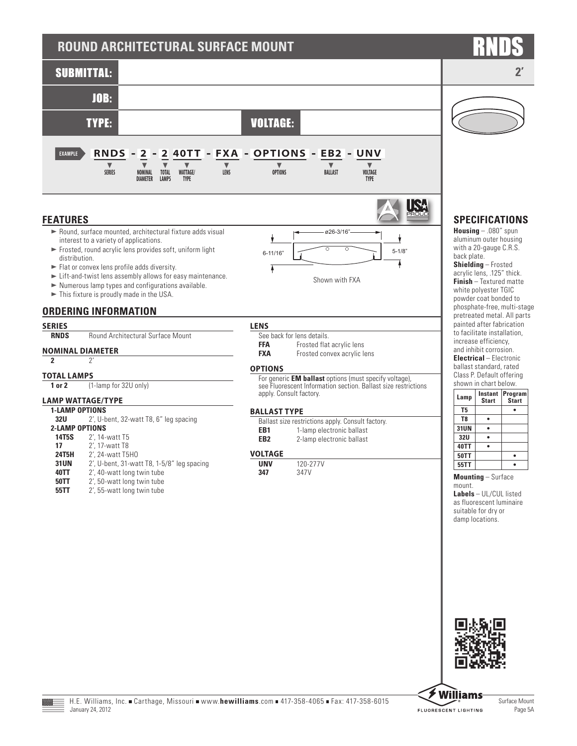# **ROUND ARCHITECTURAL SURFACE MOUNT**



## **FEATURES**

- $\blacktriangleright$  Round, surface mounted, architectural fixture adds visual interest to a variety of applications.
- $\blacktriangleright$  Frosted, round acrylic lens provides soft, uniform light distribution.



- $\blacktriangleright$  Lift-and-twist lens assembly allows for easy maintenance.
- $\blacktriangleright$  Numerous lamp types and configurations available.
- $\blacktriangleright$  This fixture is proudly made in the USA.

## **ORDERING INFORMATION**

# **SERIES**

**Round Architectural Surface Mount** 

## **NOMINAL DIAMETER**

**2** 2'

### **TOTAL LAMPS**

**1 or 2** (1-lamp for 32U only)

## **LAMP WATTAGE/TYPE**

- **1-LAMP OPTIONS**<br>**1211 2'** II-h 2', U-bent, 32-watt T8, 6" leg spacing **2-LAMP OPTIONS**<br>**14T5S** 2' 14-**14T5S** 2', 14-watt T5<br>**17** 2', 17-watt T8 **17** 2<sup>'</sup>, 17-watt T8<br>**24T5H** 2', 24-watt T5 **24T5H** 2', 24-watt T5HO<br>**31UN** 2', U-bent, 31-wa **31UN** 2', U-bent, 31-watt T8, 1-5/8" leg spacing<br>**40TT** 2', 40-watt long twin tube 2', 40-watt long twin tube
	- **50TT** 2', 50-watt long twin tube
- **55TT** 2', 55-watt long twin tube

## **LENS**

Ý

Ŧ

- See back for lens details. **FFA** Frosted flat acrylic lens<br>**FXA** Frosted convex acrylic le
	- Frosted convex acrylic lens

Shown with FXA

 $6-11/16"$   $5-1/8"$ 

ø26-3/16"

## **OPTIONS**

For generic **EM ballast** options (must specify voltage), see Fluorescent Information section. Ballast size restrictions apply. Consult factory.

### **BALLAST TYPE**

|     | Ballast size restrictions apply. Consult factory. |
|-----|---------------------------------------------------|
| EB1 | 1-lamp electronic ballast                         |

**EB2** 2-lamp electronic ballast

### **VOLTAGE**

| UNV | 120-277V |
|-----|----------|
| 347 | 347V     |

## **SPECIFICATIONS**

IS.

7

**Housing** – .080" spun aluminum outer housing with a 20-gauge C.R.S. back plate.

**Shielding** – Frosted acrylic lens, .125" thick. **Finish** – Textured matte white polyester TGIC powder coat bonded to phosphate-free, multi-stage pretreated metal. All parts painted after fabrication to facilitate installation, increase efficiency, and inhibit corrosion. **Electrical** – Electronic ballast standard, rated Class P. Default offering

| shown in chart below. |                         |                         |  |  |  |
|-----------------------|-------------------------|-------------------------|--|--|--|
| Lamp                  | Instant<br><b>Start</b> | Program<br><b>Start</b> |  |  |  |
| T5                    |                         |                         |  |  |  |
| T <sub>8</sub>        |                         |                         |  |  |  |
| 31UN                  |                         |                         |  |  |  |
| <b>32U</b>            |                         |                         |  |  |  |
| 40TT                  |                         |                         |  |  |  |
| <b>50TT</b>           |                         |                         |  |  |  |
| 55TT                  |                         |                         |  |  |  |

**Mounting** – Surface mount.

**Labels** – UL/CUL listed as fluorescent luminaire suitable for dry or damp locations.